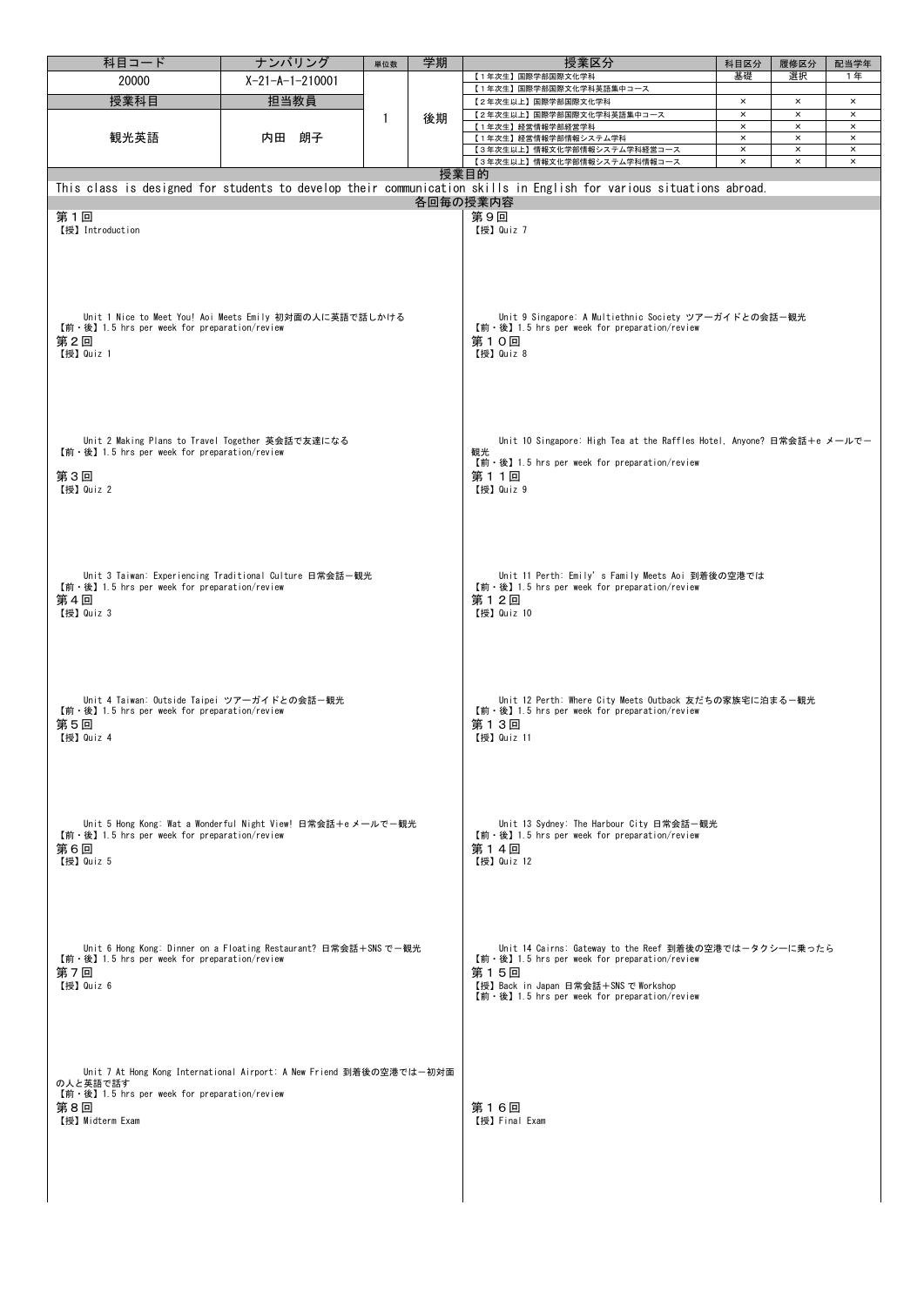| 科目コード                                                                                                                                                                  | ナンバリング                                                               | 単位数                                                                                                                           | 学期                                                                                                                                                                                                     | 授業区分                                                                                                                                | 科目区分                       | 履修区分                       | 配当学年                       |  |  |  |  |
|------------------------------------------------------------------------------------------------------------------------------------------------------------------------|----------------------------------------------------------------------|-------------------------------------------------------------------------------------------------------------------------------|--------------------------------------------------------------------------------------------------------------------------------------------------------------------------------------------------------|-------------------------------------------------------------------------------------------------------------------------------------|----------------------------|----------------------------|----------------------------|--|--|--|--|
| 20000                                                                                                                                                                  | $X-21-A-1-210001$                                                    |                                                                                                                               |                                                                                                                                                                                                        | 【1年次生】国際学部国際文化学科                                                                                                                    | 基礎                         | 選択                         | 1年                         |  |  |  |  |
| 授業科目                                                                                                                                                                   | 担当教員                                                                 |                                                                                                                               | 後期                                                                                                                                                                                                     | 【1年次生】国際学部国際文化学科英語集中コース                                                                                                             | $\times$                   | $\pmb{\times}$             | $\times$                   |  |  |  |  |
| 観光英語                                                                                                                                                                   | 内田<br>朗子                                                             | $\mathbf{1}$                                                                                                                  |                                                                                                                                                                                                        | 【2年次生以上】国際学部国際文化学科<br>【2年次生以上】国際学部国際文化学科英語集中コース                                                                                     | $\pmb{\times}$             | $\times$                   | $\times$                   |  |  |  |  |
|                                                                                                                                                                        |                                                                      |                                                                                                                               |                                                                                                                                                                                                        | 【1年次生】経営情報学部経営学科                                                                                                                    | $\times$                   | $\boldsymbol{\times}$      | ×                          |  |  |  |  |
|                                                                                                                                                                        |                                                                      |                                                                                                                               |                                                                                                                                                                                                        | 【1年次生】経営情報学部情報システム学科                                                                                                                | $\times$                   | $\times$                   | $\times$                   |  |  |  |  |
|                                                                                                                                                                        |                                                                      |                                                                                                                               |                                                                                                                                                                                                        | 【3年次生以上】情報文化学部情報システム学科経営コース<br>【3年次生以上】情報文化学部情報システム学科情報コース                                                                          | $\times$<br>$\pmb{\times}$ | $\pmb{\times}$<br>$\times$ | $\times$<br>$\pmb{\times}$ |  |  |  |  |
|                                                                                                                                                                        |                                                                      |                                                                                                                               |                                                                                                                                                                                                        | 授業目的                                                                                                                                |                            |                            |                            |  |  |  |  |
|                                                                                                                                                                        |                                                                      |                                                                                                                               |                                                                                                                                                                                                        | This class is designed for students to develop their communication skills in English for various situations abroad.                 |                            |                            |                            |  |  |  |  |
|                                                                                                                                                                        |                                                                      |                                                                                                                               |                                                                                                                                                                                                        | 各回毎の授業内容                                                                                                                            |                            |                            |                            |  |  |  |  |
| 第9回<br>第1回                                                                                                                                                             |                                                                      |                                                                                                                               |                                                                                                                                                                                                        |                                                                                                                                     |                            |                            |                            |  |  |  |  |
| 【授】 Introduction<br>【授】Quiz 7                                                                                                                                          |                                                                      |                                                                                                                               |                                                                                                                                                                                                        |                                                                                                                                     |                            |                            |                            |  |  |  |  |
| Unit 1 Nice to Meet You! Aoi Meets Emily 初対面の人に英語で話しかける<br>$[\hat{\mathfrak{m}} \cdot \hat{\mathfrak{G}}]$ 1.5 hrs per week for preparation/review<br>第2回<br>【授】Quiz 1 |                                                                      |                                                                                                                               |                                                                                                                                                                                                        | Unit 9 Singapore: A Multiethnic Society ツアーガイドとの会話-観光<br>【前·後】1.5 hrs per week for preparation/review<br>第10回<br>【授】Quiz 8          |                            |                            |                            |  |  |  |  |
|                                                                                                                                                                        |                                                                      |                                                                                                                               |                                                                                                                                                                                                        |                                                                                                                                     |                            |                            |                            |  |  |  |  |
| Unit 2 Making Plans to Travel Together 英会話で友達になる<br>$[\hat{\mathfrak{m}} \cdot \hat{\mathfrak{G}}]$ 1.5 hrs per week for preparation/review                            |                                                                      |                                                                                                                               |                                                                                                                                                                                                        | Unit 10 Singapore: High Tea at the Raffles Hotel, Anyone? 日常会話+e メールでー<br>観光                                                        |                            |                            |                            |  |  |  |  |
|                                                                                                                                                                        |                                                                      |                                                                                                                               |                                                                                                                                                                                                        | 【前・後】1.5 hrs per week for preparation/review<br>第11回<br>【授】Quiz 9                                                                   |                            |                            |                            |  |  |  |  |
| 第3回<br>【授】 Quiz 2                                                                                                                                                      |                                                                      |                                                                                                                               |                                                                                                                                                                                                        |                                                                                                                                     |                            |                            |                            |  |  |  |  |
|                                                                                                                                                                        |                                                                      |                                                                                                                               |                                                                                                                                                                                                        |                                                                                                                                     |                            |                            |                            |  |  |  |  |
| 【前·後】1.5 hrs per week for preparation/review<br>第4回<br>【授】Quiz 3                                                                                                       | Unit 3 Taiwan: Experiencing Traditional Culture 日常会話-観光              | Unit 11 Perth: Emily's Family Meets Aoi 到着後の空港では<br>【前·後】1.5 hrs per week for preparation/review<br>第12回<br>【授】Quiz 10        |                                                                                                                                                                                                        |                                                                                                                                     |                            |                            |                            |  |  |  |  |
| Unit 4 Taiwan: Outside Taipei ツアーガイドとの会話-観光<br>【前·後】1.5 hrs per week for preparation/review<br>第5回<br>【授】Quiz 4                                                        |                                                                      | Unit 12 Perth: Where City Meets Outback 友だちの家族宅に泊まる-観光<br>【前·後】1.5 hrs per week for preparation/review<br>第13回<br>【授】 Quiz 11 |                                                                                                                                                                                                        |                                                                                                                                     |                            |                            |                            |  |  |  |  |
|                                                                                                                                                                        |                                                                      |                                                                                                                               |                                                                                                                                                                                                        |                                                                                                                                     |                            |                            |                            |  |  |  |  |
| $[\hat{\mathfrak{m}} \cdot \hat{\mathfrak{G}}]$ 1.5 hrs per week for preparation/review                                                                                | Unit 5 Hong Kong: Wat a Wonderful Night View! 日常会話+e メールで一観光         |                                                                                                                               |                                                                                                                                                                                                        | Unit 13 Sydney: The Harbour City 日常会話―観光<br>$[\hat{\mathfrak{m}} \cdot \hat{\mathfrak{G}}]$ 1.5 hrs per week for preparation/review |                            |                            |                            |  |  |  |  |
| 第6回                                                                                                                                                                    |                                                                      |                                                                                                                               |                                                                                                                                                                                                        | 第14回                                                                                                                                |                            |                            |                            |  |  |  |  |
| 【授】Quiz 5                                                                                                                                                              |                                                                      |                                                                                                                               |                                                                                                                                                                                                        | 【授】Quiz 12                                                                                                                          |                            |                            |                            |  |  |  |  |
| 【前 · 後】1.5 hrs per week for preparation/review<br>第7回<br>【授】 Quiz 6                                                                                                    | Unit 6 Hong Kong: Dinner on a Floating Restaurant? 日常会話+SNS で一観光     |                                                                                                                               | Unit 14 Cairns: Gateway to the Reef 到着後の空港ではータクシーに乗ったら<br>【前·後】1.5 hrs per week for preparation/review<br>第15回<br>【授】Back in Japan 日常会話+SNS で Workshop<br>【前·後】1.5 hrs per week for preparation/review |                                                                                                                                     |                            |                            |                            |  |  |  |  |
|                                                                                                                                                                        |                                                                      |                                                                                                                               |                                                                                                                                                                                                        |                                                                                                                                     |                            |                            |                            |  |  |  |  |
| の人と英語で話す<br>【前・後】1.5 hrs per week for preparation/review<br>第8回<br>【授】Midterm Exam                                                                                     | Unit 7 At Hong Kong International Airport: A New Friend 到着後の空港では―初対面 |                                                                                                                               | 第16回<br>【授】Final Exam                                                                                                                                                                                  |                                                                                                                                     |                            |                            |                            |  |  |  |  |